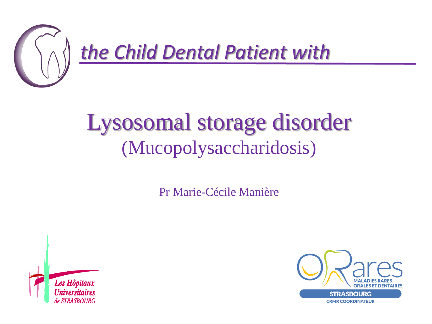

# Lysosomal storage disorder (Mucopolysaccharidosis)

Pr Marie-Cécile Manière



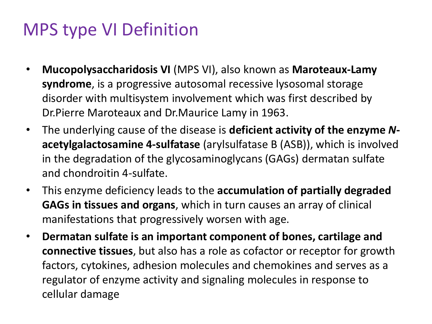#### MPS type VI Definition

- **Mucopolysaccharidosis VI** (MPS VI), also known as **Maroteaux-Lamy syndrome**, is a progressive autosomal recessive lysosomal storage disorder with multisystem involvement which was first described by Dr.Pierre Maroteaux and Dr.Maurice Lamy in 1963.
- The underlying cause of the disease is **deficient activity of the enzyme** *N***acetylgalactosamine 4-sulfatase** (arylsulfatase B (ASB)), which is involved in the degradation of the glycosaminoglycans (GAGs) dermatan sulfate and chondroitin 4-sulfate.
- This enzyme deficiency leads to the **accumulation of partially degraded GAGs in tissues and organs**, which in turn causes an array of clinical manifestations that progressively worsen with age.
- **Dermatan sulfate is an important component of bones, cartilage and connective tissues**, but also has a role as cofactor or receptor for growth factors, cytokines, adhesion molecules and chemokines and serves as a regulator of enzyme activity and signaling molecules in response to cellular damage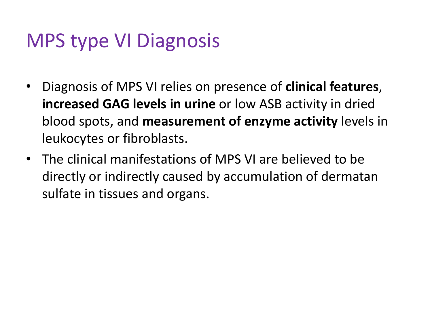# MPS type VI Diagnosis

- Diagnosis of MPS VI relies on presence of **clinical features**, **increased GAG levels in urine** or low ASB activity in dried blood spots, and **measurement of enzyme activity** levels in leukocytes or fibroblasts.
- The clinical manifestations of MPS VI are believed to be directly or indirectly caused by accumulation of dermatan sulfate in tissues and organs.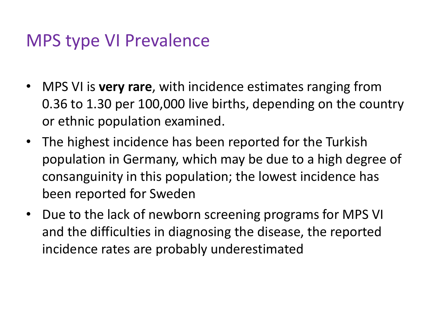#### MPS type VI Prevalence

- MPS VI is **very rare**, with incidence estimates ranging from 0.36 to 1.30 per 100,000 live births, depending on the country or ethnic population examined.
- The highest incidence has been reported for the Turkish population in Germany, which may be due to a high degree of consanguinity in this population; the lowest incidence has been reported for Sweden
- Due to the lack of newborn screening programs for MPS VI and the difficulties in diagnosing the disease, the reported incidence rates are probably underestimated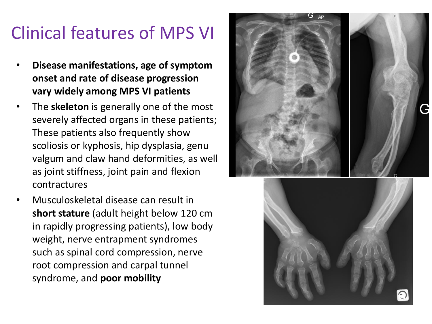# Clinical features of MPS VI

- **Disease manifestations, age of symptom onset and rate of disease progression vary widely among MPS VI patients**
- The **skeleton** is generally one of the most severely affected organs in these patients; These patients also frequently show scoliosis or kyphosis, hip dysplasia, genu valgum and claw hand deformities, as well as joint stiffness, joint pain and flexion contractures
- Musculoskeletal disease can result in **short stature** (adult height below 120 cm in rapidly progressing patients), low body weight, nerve entrapment syndromes such as spinal cord compression, nerve root compression and carpal tunnel syndrome, and **poor mobility**



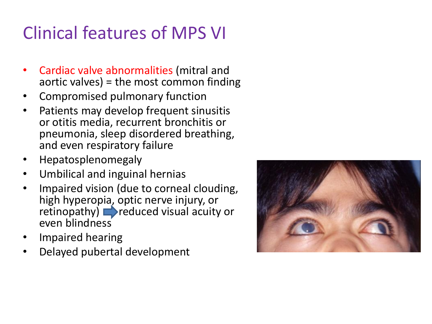# Clinical features of MPS VI

- Cardiac valve abnormalities (mitral and aortic valves) = the most common finding
- Compromised pulmonary function
- Patients may develop frequent sinusitis or otitis media, recurrent bronchitis or pneumonia, sleep disordered breathing, and even respiratory failure
- Hepatosplenomegaly
- Umbilical and inguinal hernias
- Impaired vision (due to corneal clouding, high hyperopia, optic nerve injury, or retinopathy) **reduced** visual acuity or even blindness
- Impaired hearing
- Delayed pubertal development

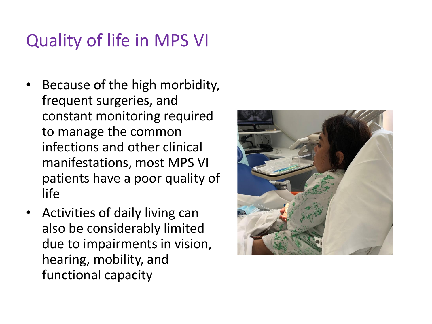### Quality of life in MPS VI

- Because of the high morbidity, frequent surgeries, and constant monitoring required to manage the common infections and other clinical manifestations, most MPS VI patients have a poor quality of life
- Activities of daily living can also be considerably limited due to impairments in vision, hearing, mobility, and functional capacity

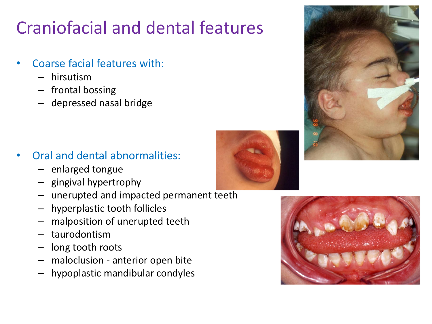# Craniofacial and dental features

- Coarse facial features with:
	- hirsutism
	- frontal bossing
	- depressed nasal bridge

- Oral and dental abnormalities:
	- enlarged tongue
	- gingival hypertrophy
	- unerupted and impacted permanent teeth
	- hyperplastic tooth follicles
	- malposition of unerupted teeth
	- taurodontism
	- long tooth roots
	- maloclusion anterior open bite
	- hypoplastic mandibular condyles





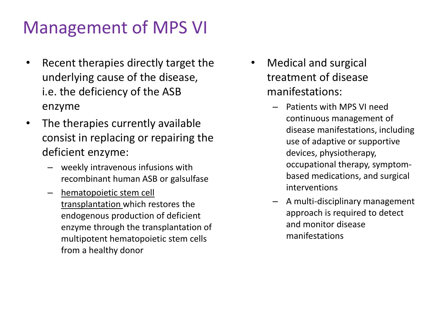#### Management of MPS VI

- Recent therapies directly target the underlying cause of the disease, i.e. the deficiency of the ASB enzyme
- The therapies currently available consist in replacing or repairing the deficient enzyme:
	- weekly intravenous infusions with recombinant human ASB or galsulfase
	- hematopoietic stem cell transplantation which restores the endogenous production of deficient enzyme through the transplantation of multipotent hematopoietic stem cells from a healthy donor
- Medical and surgical treatment of disease manifestations:
	- Patients with MPS VI need continuous management of disease manifestations, including use of adaptive or supportive devices, physiotherapy, occupational therapy, symptombased medications, and surgical interventions
	- A multi-disciplinary management approach is required to detect and monitor disease manifestations